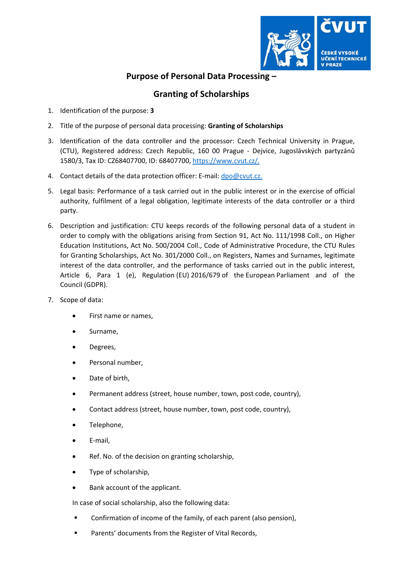

## **Purpose of Personal Data Processing –**

## **Granting of Scholarships**

- 1. Identification of the purpose: **3**
- 2. Title of the purpose of personal data processing: **Granting of Scholarships**
- 3. Identification of the data controller and the processor: Czech Technical University in Prague, (CTU), Registered address: Czech Republic, 160 00 Prague ‐ Dejvice, Jugoslávských partyzánů 1580/3, Tax ID: CZ68407700, ID: 68407700, https://www.cvut.cz/.
- 4. Contact details of the data protection officer: E-mail: dpo@cvut.cz.
- 5. Legal basis: Performance of a task carried out in the public interest or in the exercise of official authority, fulfilment of a legal obligation, legitimate interests of the data controller or a third party.
- 6. Description and justification: CTU keeps records of the following personal data of a student in order to comply with the obligations arising from Section 91, Act No. 111/1998 Coll., on Higher Education Institutions, Act No. 500/2004 Coll., Code of Administrative Procedure, the CTU Rules for Granting Scholarships, Act No. 301/2000 Coll., on Registers, Names and Surnames, legitimate interest of the data controller, and the performance of tasks carried out in the public interest, Article 6, Para 1 (e), Regulation (EU) 2016/679 of the European Parliament and of the Council (GDPR).
- 7. Scope of data:
	- First name or names,
	- Surname,
	- Degrees,
	- Personal number,
	- Date of birth,
	- Permanent address (street, house number, town, post code, country),
	- Contact address (street, house number, town, post code, country),
	- Telephone,
	- E‐mail,
	- Ref. No. of the decision on granting scholarship,
	- Type of scholarship,
	- Bank account of the applicant.

In case of social scholarship, also the following data:

- Confirmation of income of the family, of each parent (also pension),
- Parents' documents from the Register of Vital Records,